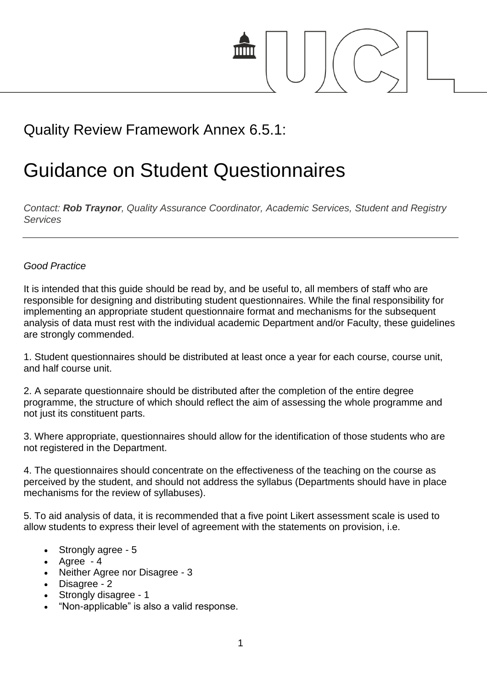

# Quality Review Framework Annex 6.5.1:

# Guidance on Student Questionnaires

*Contact: Rob Traynor, Quality Assurance Coordinator, Academic Services, Student and Registry Services*

#### *Good Practice*

It is intended that this guide should be read by, and be useful to, all members of staff who are responsible for designing and distributing student questionnaires. While the final responsibility for implementing an appropriate student questionnaire format and mechanisms for the subsequent analysis of data must rest with the individual academic Department and/or Faculty, these guidelines are strongly commended.

1. Student questionnaires should be distributed at least once a year for each course, course unit, and half course unit.

2. A separate questionnaire should be distributed after the completion of the entire degree programme, the structure of which should reflect the aim of assessing the whole programme and not just its constituent parts.

3. Where appropriate, questionnaires should allow for the identification of those students who are not registered in the Department.

4. The questionnaires should concentrate on the effectiveness of the teaching on the course as perceived by the student, and should not address the syllabus (Departments should have in place mechanisms for the review of syllabuses).

5. To aid analysis of data, it is recommended that a five point Likert assessment scale is used to allow students to express their level of agreement with the statements on provision, i.e.

- Strongly agree 5
- $\bullet$  Agree  $-4$
- Neither Agree nor Disagree 3
- Disagree 2
- Strongly disagree 1
- "Non-applicable" is also a valid response.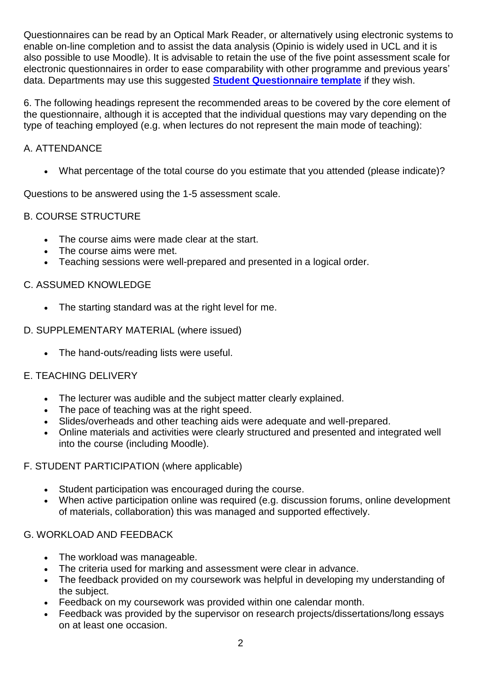Questionnaires can be read by an Optical Mark Reader, or alternatively using electronic systems to enable on-line completion and to assist the data analysis (Opinio is widely used in UCL and it is also possible to use Moodle). It is advisable to retain the use of the five point assessment scale for electronic questionnaires in order to ease comparability with other programme and previous years' data. Departments may use this suggested **[Student Questionnaire template](http://www.ucl.ac.uk/academic-manual/part-7/student-questionnaire-template)** if they wish.

6. The following headings represent the recommended areas to be covered by the core element of the questionnaire, although it is accepted that the individual questions may vary depending on the type of teaching employed (e.g. when lectures do not represent the main mode of teaching):

#### A. ATTENDANCE

What percentage of the total course do you estimate that you attended (please indicate)?

Questions to be answered using the 1-5 assessment scale.

### B. COURSE STRUCTURE

- The course aims were made clear at the start.
- The course aims were met.
- Teaching sessions were well-prepared and presented in a logical order.

#### C. ASSUMED KNOWLEDGE

The starting standard was at the right level for me.

#### D. SUPPLEMENTARY MATERIAL (where issued)

The hand-outs/reading lists were useful.

## E. TEACHING DELIVERY

- The lecturer was audible and the subject matter clearly explained.
- The pace of teaching was at the right speed.
- Slides/overheads and other teaching aids were adequate and well-prepared.
- Online materials and activities were clearly structured and presented and integrated well into the course (including Moodle).

#### F. STUDENT PARTICIPATION (where applicable)

- Student participation was encouraged during the course.
- When active participation online was required (e.g. discussion forums, online development of materials, collaboration) this was managed and supported effectively.

#### G. WORKLOAD AND FEEDBACK

- The workload was manageable.
- The criteria used for marking and assessment were clear in advance.
- The feedback provided on my coursework was helpful in developing my understanding of the subject.
- Feedback on my coursework was provided within one calendar month.
- Feedback was provided by the supervisor on research projects/dissertations/long essays on at least one occasion.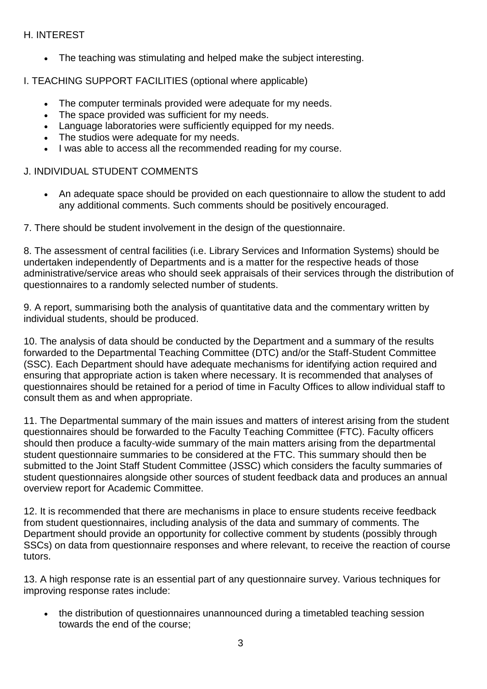#### H. INTEREST

• The teaching was stimulating and helped make the subject interesting.

I. TEACHING SUPPORT FACILITIES (optional where applicable)

- The computer terminals provided were adequate for my needs.
- The space provided was sufficient for my needs.
- Language laboratories were sufficiently equipped for my needs.
- The studios were adequate for my needs.
- I was able to access all the recommended reading for my course.

#### J. INDIVIDUAL STUDENT COMMENTS

 An adequate space should be provided on each questionnaire to allow the student to add any additional comments. Such comments should be positively encouraged.

7. There should be student involvement in the design of the questionnaire.

8. The assessment of central facilities (i.e. Library Services and Information Systems) should be undertaken independently of Departments and is a matter for the respective heads of those administrative/service areas who should seek appraisals of their services through the distribution of questionnaires to a randomly selected number of students.

9. A report, summarising both the analysis of quantitative data and the commentary written by individual students, should be produced.

10. The analysis of data should be conducted by the Department and a summary of the results forwarded to the Departmental Teaching Committee (DTC) and/or the Staff-Student Committee (SSC). Each Department should have adequate mechanisms for identifying action required and ensuring that appropriate action is taken where necessary. It is recommended that analyses of questionnaires should be retained for a period of time in Faculty Offices to allow individual staff to consult them as and when appropriate.

11. The Departmental summary of the main issues and matters of interest arising from the student questionnaires should be forwarded to the Faculty Teaching Committee (FTC). Faculty officers should then produce a faculty-wide summary of the main matters arising from the departmental student questionnaire summaries to be considered at the FTC. This summary should then be submitted to the Joint Staff Student Committee (JSSC) which considers the faculty summaries of student questionnaires alongside other sources of student feedback data and produces an annual overview report for Academic Committee.

12. It is recommended that there are mechanisms in place to ensure students receive feedback from student questionnaires, including analysis of the data and summary of comments. The Department should provide an opportunity for collective comment by students (possibly through SSCs) on data from questionnaire responses and where relevant, to receive the reaction of course tutors.

13. A high response rate is an essential part of any questionnaire survey. Various techniques for improving response rates include:

 the distribution of questionnaires unannounced during a timetabled teaching session towards the end of the course;